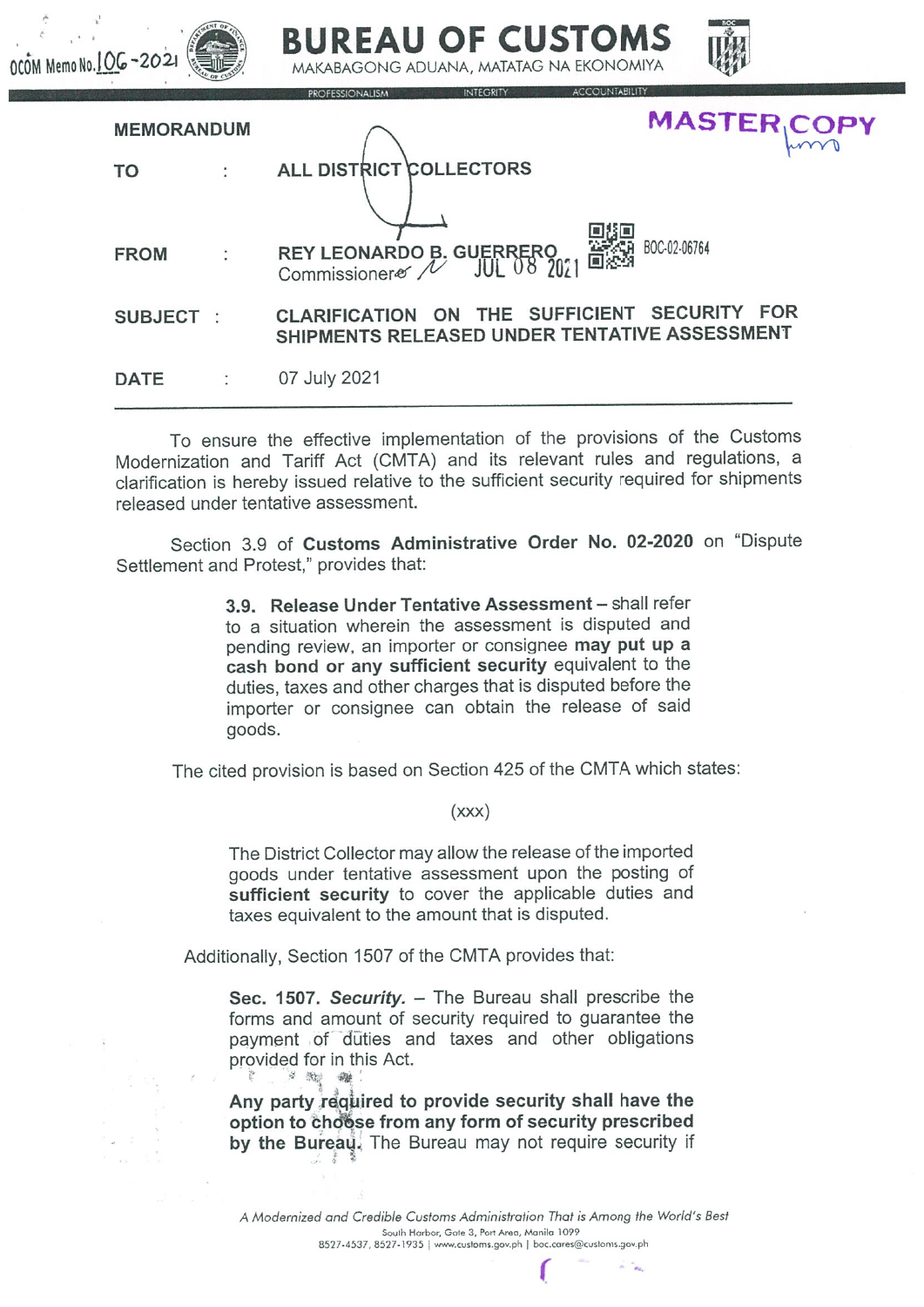| 10 No. 1 OG-2021  | BUREAU OF CUSTOMS<br>MAKABAGONG ADUANA, MATATAG NA EKONOMIYA                                            |
|-------------------|---------------------------------------------------------------------------------------------------------|
| <b>MEMORANDUM</b> | <b>ACCOUNTABILITY</b><br><b>INTEGRITY</b><br><b>PROFESSIONALISM</b><br><b>MASTER COPY</b>               |
| TO                | <b>ALL DISTRICT COLLECTORS</b>                                                                          |
| <b>FROM</b>       | BOC-02-06764<br>REY LEONARDO B. GUERRERO<br>Commissionerer / JUL 08 2021<br>Commissioner $\mathcal N$   |
| <b>SUBJECT</b>    | ON THE SUFFICIENT SECURITY FOR<br><b>CLARIFICATION</b><br>SHIPMENTS RELEASED UNDER TENTATIVE ASSESSMENT |
| <b>DATE</b>       | 07 July 2021                                                                                            |

**DEAIL OF CHICTOMC** 

To ensure the effective implementation of the provisions of the Customs Modernization and Tariff Act (CMTA) and its relevant rules and regulations, a clarification is hereby issued relative to the sufficient security required for shipments released under tentative assessment.

Section 3.9 of Customs Administrative Order No. 02-2020 on "Dispute Settlement and Protest," provides that:

> 3.9. Release Under Tentative Assessment - shall refer to a situation wherein the assessment is disputed and pending review, an importer or consignee may put up a cash bond or any sufficient security equivalent to the duties, taxes and other charges that is disputed before the importer or consignee can obtain the release of said goods.

The cited provision is based on Section 425 of the CMTA which states:

 $(xxx)$ 

The District Collector may allow the release of the imported goods under tentative assessment upon the posting of sufficient security to cover the applicable duties and taxes equivalent to the amount that is disputed.

Additionally, Section 1507 of the CMTA provides that:

Sec. 1507. Security. - The Bureau shall prescribe the forms and amount of security required to guarantee the payment of duties and taxes and other obligations provided for in this Act. 3 微 键

Any party required to provide security shall have the option to choose from any form of security prescribed by the Bureau. The Bureau may not require security if